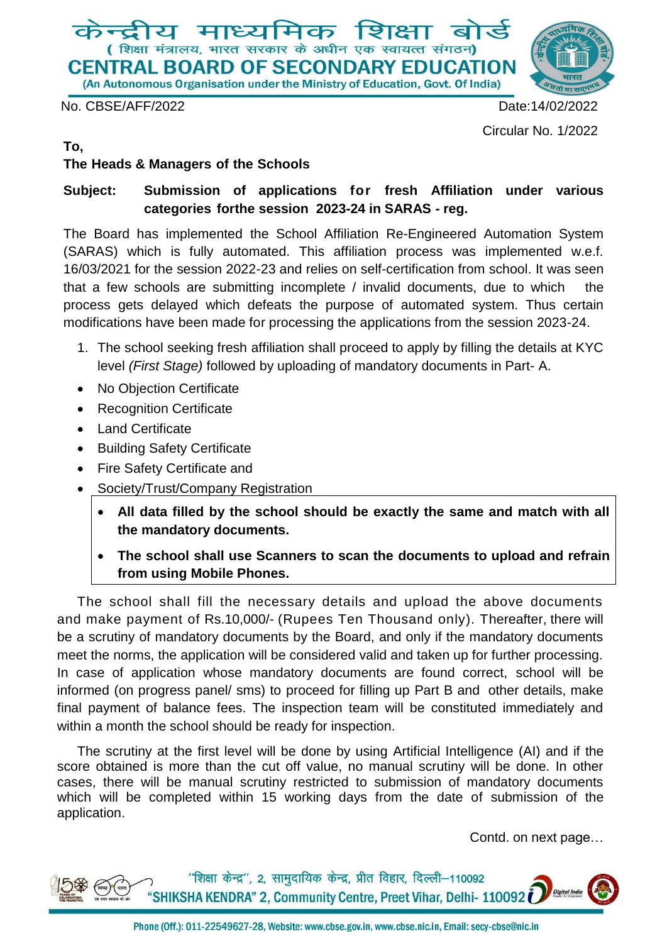

No. CBSE/AFF/2022 Date:14/02/2022

Circular No. 1/2022

### **To,**

### **The Heads & Managers of the Schools**

## **Subject: Submission of applications for fresh Affiliation under various categories forthe session 2023-24 in SARAS - reg.**

The Board has implemented the School Affiliation Re-Engineered Automation System (SARAS) which is fully automated. This affiliation process was implemented w.e.f. 16/03/2021 for the session 2022-23 and relies on self-certification from school. It was seen that a few schools are submitting incomplete / invalid documents, due to which the process gets delayed which defeats the purpose of automated system. Thus certain modifications have been made for processing the applications from the session 2023-24.

- 1. The school seeking fresh affiliation shall proceed to apply by filling the details at KYC level *(First Stage)* followed by uploading of mandatory documents in Part- A.
- No Objection Certificate
- Recognition Certificate
- Land Certificate
- Building Safety Certificate
- Fire Safety Certificate and
- Society/Trust/Company Registration
	- **All data filled by the school should be exactly the same and match with all the mandatory documents.**
	- **The school shall use Scanners to scan the documents to upload and refrain from using Mobile Phones.**

The school shall fill the necessary details and upload the above documents and make payment of Rs.10,000/- (Rupees Ten Thousand only). Thereafter, there will be a scrutiny of mandatory documents by the Board, and only if the mandatory documents meet the norms, the application will be considered valid and taken up for further processing. In case of application whose mandatory documents are found correct, school will be informed (on progress panel/ sms) to proceed for filling up Part B and other details, make final payment of balance fees. The inspection team will be constituted immediately and within a month the school should be ready for inspection.

The scrutiny at the first level will be done by using Artificial Intelligence (AI) and if the score obtained is more than the cut off value, no manual scrutiny will be done. In other cases, there will be manual scrutiny restricted to submission of mandatory documents which will be completed within 15 working days from the date of submission of the application.

Contd. on next page…

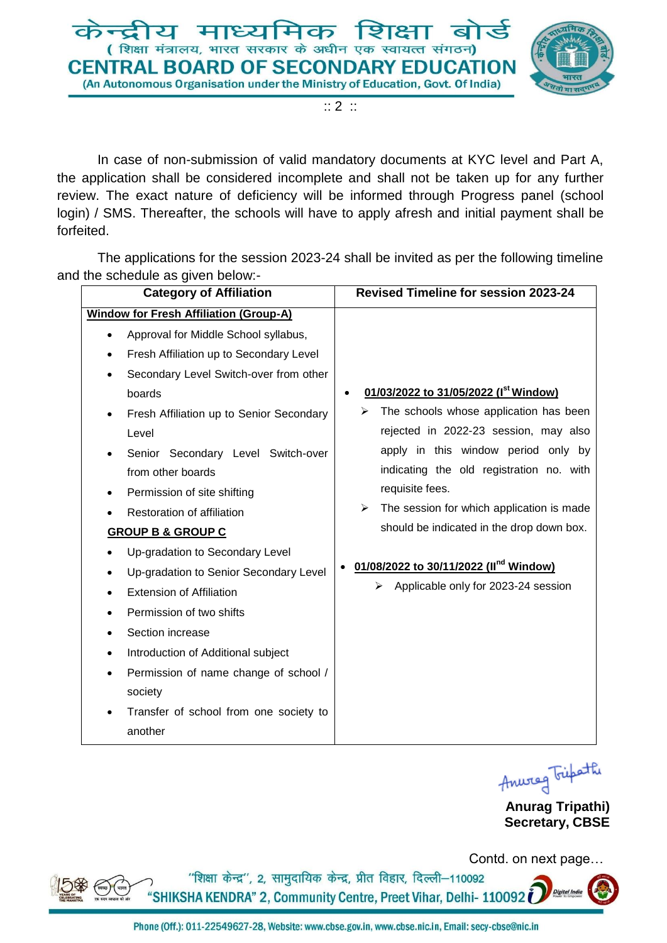

:: 2 ::

In case of non-submission of valid mandatory documents at KYC level and Part A, the application shall be considered incomplete and shall not be taken up for any further review. The exact nature of deficiency will be informed through Progress panel (school login) / SMS. Thereafter, the schools will have to apply afresh and initial payment shall be forfeited.

The applications for the session 2023-24 shall be invited as per the following timeline and the schedule as given below:-

| <b>Category of Affiliation</b>                        | <b>Revised Timeline for session 2023-24</b>        |
|-------------------------------------------------------|----------------------------------------------------|
| <b>Window for Fresh Affiliation (Group-A)</b>         |                                                    |
| Approval for Middle School syllabus,                  |                                                    |
| Fresh Affiliation up to Secondary Level<br>$\bullet$  |                                                    |
| Secondary Level Switch-over from other<br>$\bullet$   |                                                    |
| boards                                                | 01/03/2022 to 31/05/2022 (I <sup>st</sup> Window)  |
| Fresh Affiliation up to Senior Secondary<br>$\bullet$ | The schools whose application has been<br>➤        |
| Level                                                 | rejected in 2022-23 session, may also              |
| Senior Secondary Level Switch-over                    | apply in this window period only by                |
| from other boards                                     | indicating the old registration no. with           |
| Permission of site shifting                           | requisite fees.                                    |
| Restoration of affiliation                            | The session for which application is made<br>➤     |
| <b>GROUP B &amp; GROUP C</b>                          | should be indicated in the drop down box.          |
| Up-gradation to Secondary Level                       |                                                    |
| Up-gradation to Senior Secondary Level<br>$\bullet$   | 01/08/2022 to 30/11/2022 (II <sup>nd</sup> Window) |
| <b>Extension of Affiliation</b>                       | Applicable only for 2023-24 session<br>≻           |
| Permission of two shifts<br>$\bullet$                 |                                                    |
| Section increase<br>$\bullet$                         |                                                    |
| Introduction of Additional subject<br>$\bullet$       |                                                    |
| Permission of name change of school /<br>$\bullet$    |                                                    |
| society                                               |                                                    |
| Transfer of school from one society to                |                                                    |
| another                                               |                                                    |
|                                                       |                                                    |



**Anurag Tripathi) Secretary, CBSE**



Contd. on next page…

"शिक्षा केन्द्र", 2, सामुदायिक केन्द्र, प्रीत विहार, दिल्ली-110092 "SHIKSHA KENDRA" 2, Community Centre, Preet Vihar, Delhi- 110092